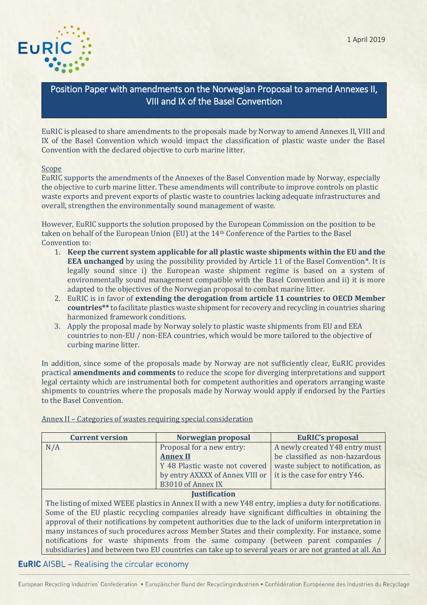

# Position Paper with amendments on the Norwegian Proposal to amend Annexes II, VIII and IX of the Basel Convention

EuRIC is pleased to share amendments to the proposals made by Norway to amend Annexes II, VIII and IX of the Basel Convention which would impact the classification of plastic waste under the Basel Convention with the declared objective to curb marine litter.

#### Scope

EuRIC supports the amendments of the Annexes of the Basel Convention made by Norway, especially the objective to curb marine litter. These amendments will contribute to improve controls on plastic waste exports and prevent exports of plastic waste to countries lacking adequate infrastructures and overall, strengthen the environmentally sound management of waste.

However, EuRIC supports the solution proposed by the European Commission on the position to be taken on behalf of the European Union (EU) at the 14th Conference of the Parties to the Basel Convention to:

- 1. **Keep the current system applicable for all plastic waste shipments within the EU and the EEA unchanged** by using the possibility provided by Article 11 of the Basel Convention\*. It is legally sound since i) the European waste shipment regime is based on a system of environmentally sound management compatible with the Basel Convention and ii) it is more adapted to the objectives of the Norwegian proposal to combat marine litter.
- 2. EuRIC is in favor of **extending the derogation from article 11 countries to OECD Member countries\*\*** to facilitate plastics waste shipment for recovery and recycling in countries sharing harmonized framework conditions.
- 3. Apply the proposal made by Norway solely to plastic waste shipments from EU and EEA countries to non-EU / non-EEA countries, which would be more tailored to the objective of curbing marine litter.

In addition, since some of the proposals made by Norway are not sufficiently clear, EuRIC provides practical **amendments and comments** to reduce the scope for diverging interpretations and support legal certainty which are instrumental both for competent authorities and operators arranging waste shipments to countries where the proposals made by Norway would apply if endorsed by the Parties to the Basel Convention.

| <b>Current version</b> | Norwegian proposal                                                                                     | <b>EuRIC's proposal</b>           |
|------------------------|--------------------------------------------------------------------------------------------------------|-----------------------------------|
| N/A                    | Proposal for a new entry:                                                                              | A newly created Y48 entry must    |
|                        | <b>Annex II</b>                                                                                        | be classified as non-hazardous    |
|                        | Y 48 Plastic waste not covered                                                                         | waste subject to notification, as |
|                        | by entry AXXXX of Annex VIII or                                                                        | it is the case for entry Y46.     |
|                        | <b>B3010 of Annex IX</b>                                                                               |                                   |
|                        | <b>Justification</b>                                                                                   |                                   |
|                        | The listing of mixed WEEE plastics in Annex II with a new Y48 entry, implies a duty for notifications. |                                   |
|                        | Some of the EU plastic recycling companies already have significant difficulties in obtaining the      |                                   |

Annex II – Categories of wastes requiring special consideration

approval of their notifications by competent authorities due to the lack of uniform interpretation in many instances of such procedures across Member States and their complexity. For instance, some notifications for waste shipments from the same company (between parent companies subsidiaries) and between two EU countries can take up to several years or are not granted at all. An

## **EuRIC** AISBL - Realising the circular economy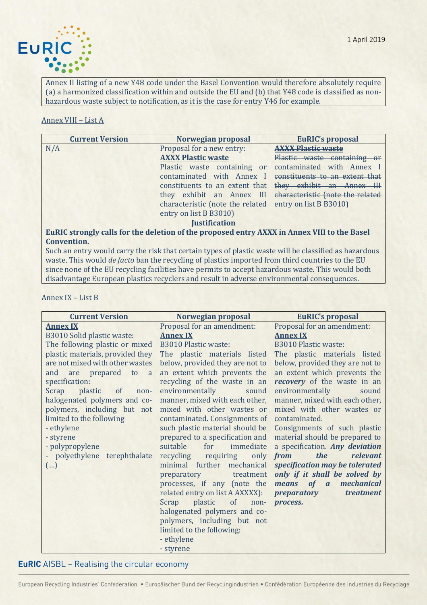

Annex II listing of a new Y48 code under the Basel Convention would therefore absolutely require (a) a harmonized classification within and outside the EU and (b) that Y48 code is classified as nonhazardous waste subject to notification, as it is the case for entry Y46 for example.

### Annex VIII – List A

| <b>Current Version</b> | Norwegian proposal               | <b>EuRIC's proposal</b>          |
|------------------------|----------------------------------|----------------------------------|
| N/A                    | Proposal for a new entry:        | <b>AXXX Plastic waste</b>        |
|                        | <b>AXXX Plastic waste</b>        | Plastic waste containing or      |
|                        | Plastic waste containing or      | contaminated with Annex          |
|                        | contaminated with Annex I        | constituents to an extent that   |
|                        | constituents to an extent that   | they exhibit an Annex III        |
|                        | they exhibit an Annex III        | characteristic (note the related |
|                        | characteristic (note the related | entry on list B B3010)           |
|                        | entry on list B B3010)           |                                  |
|                        | <b>Justification</b>             |                                  |

**EuRIC strongly calls for the deletion of the proposed entry AXXX in Annex VIII to the Basel Convention.** 

Such an entry would carry the risk that certain types of plastic waste will be classified as hazardous waste. This would *de facto* ban the recycling of plastics imported from third countries to the EU since none of the EU recycling facilities have permits to accept hazardous waste. This would both disadvantage European plastics recyclers and result in adverse environmental consequences.

### Annex IX – List B

| <b>Current Version</b>                 | Norwegian proposal                    | <b>EuRIC's proposal</b>         |
|----------------------------------------|---------------------------------------|---------------------------------|
| <b>Annex IX</b>                        | Proposal for an amendment:            | Proposal for an amendment:      |
| <b>B3010 Solid plastic waste:</b>      | <b>Annex IX</b>                       | <b>Annex IX</b>                 |
| The following plastic or mixed         | <b>B3010 Plastic waste:</b>           | <b>B3010 Plastic waste:</b>     |
| plastic materials, provided they       | The plastic materials listed          | The plastic materials listed    |
| are not mixed with other wastes        | below, provided they are not to       | below, provided they are not to |
| and are prepared to<br>a               | an extent which prevents the          | an extent which prevents the    |
| specification:                         | recycling of the waste in an          | recovery of the waste in an     |
| plastic<br>Scrap<br>$\circ$ of<br>non- | environmentally<br>sound              | environmentally<br>sound        |
| halogenated polymers and co-           | manner, mixed with each other,        | manner, mixed with each other,  |
| polymers, including but not            | mixed with other wastes or            | mixed with other wastes or      |
| limited to the following               | contaminated. Consignments of         | contaminated.                   |
| - ethylene                             | such plastic material should be       | Consignments of such plastic    |
| - styrene                              | prepared to a specification and       | material should be prepared to  |
| - polypropylene                        | suitable<br>for<br>immediate          | a specification. Any deviation  |
| - polyethylene<br>terephthalate        | recycling requiring<br>only           | relevant<br>the<br>from         |
| $(\ldots)$                             | minimal further mechanical            | specification may be tolerated  |
|                                        | preparatory<br>treatment              | only if it shall be solved by   |
|                                        | processes, if any (note the           | means of a<br>mechanical        |
|                                        | related entry on list A AXXXX):       | preparatory<br>treatment        |
|                                        | plastic<br>$\circ$ f<br>Scrap<br>non- | process.                        |
|                                        | halogenated polymers and co-          |                                 |
|                                        | polymers, including but not           |                                 |
|                                        | limited to the following:             |                                 |
|                                        | - ethylene                            |                                 |
|                                        | - styrene                             |                                 |

# **EuRIC** AISBL - Realising the circular economy